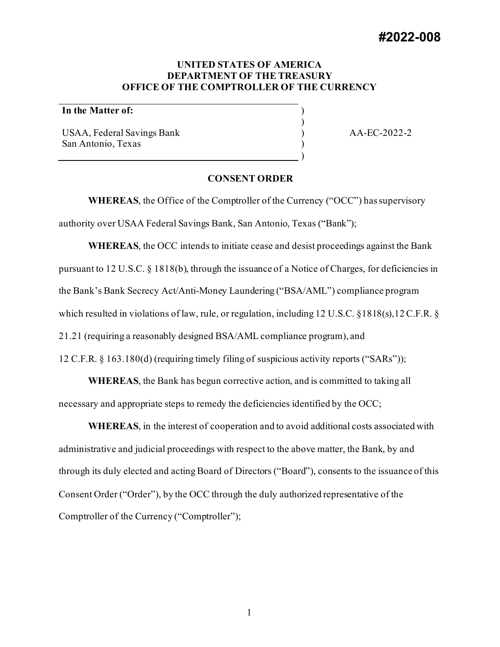# **UNITED STATES OF AMERICA DEPARTMENT OF THE TREASURY OFFICE OF THE COMPTROLLER OF THE CURRENCY**

) ) ) ) )

# **In the Matter of:**

USAA, Federal Savings Bank San Antonio, Texas

AA-EC-2022-2

### **CONSENT ORDER**

**WHEREAS**, the Office of the Comptroller of the Currency ("OCC") has supervisory authority over USAA Federal Savings Bank, San Antonio, Texas ("Bank");

**WHEREAS**, the OCC intends to initiate cease and desist proceedings against the Bank pursuant to 12 U.S.C. § 1818(b), through the issuance of a Notice of Charges, for deficiencies in the Bank's Bank Secrecy Act/Anti-Money Laundering ("BSA/AML") compliance program which resulted in violations of law, rule, or regulation, including 12 U.S.C. §1818(s),12 C.F.R. § 21.21 (requiring a reasonably designed BSA/AML compliance program), and 12 C.F.R. § 163.180(d) (requiring timely filing of suspicious activity reports ("SARs"));

**WHEREAS**, the Bank has begun corrective action, and is committed to taking all necessary and appropriate steps to remedy the deficiencies identified by the OCC;

**WHEREAS**, in the interest of cooperation and to avoid additional costs associated with administrative and judicial proceedings with respect to the above matter, the Bank, by and through its duly elected and acting Board of Directors ("Board"), consents to the issuance of this Consent Order ("Order"), by the OCC through the duly authorized representative of the Comptroller of the Currency ("Comptroller");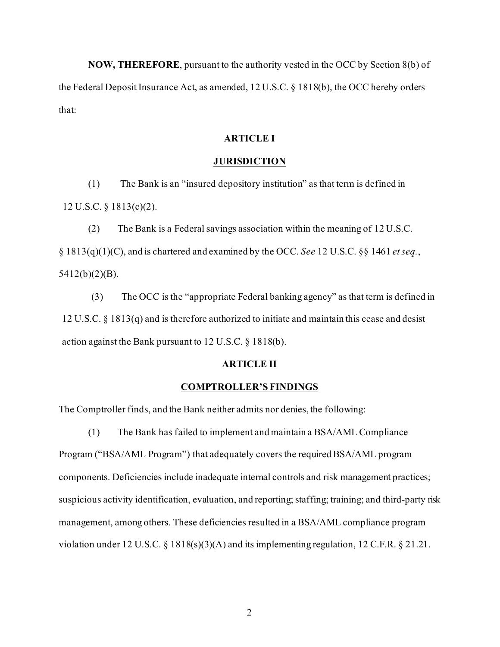**NOW, THEREFORE**, pursuant to the authority vested in the OCC by Section 8(b) of the Federal Deposit Insurance Act, as amended, 12 U.S.C. § 1818(b), the OCC hereby orders that:

## **ARTICLE I**

### **JURISDICTION**

(1) The Bank is an "insured depository institution" as that term is defined in 12 U.S.C. § 1813(c)(2).

(2) The Bank is a Federal savings association within the meaning of 12 U.S.C. § 1813(q)(1)(C), and is chartered and examined by the OCC. *See* 12 U.S.C. §§ 1461 *et seq.*, 5412(b)(2)(B).

(3) The OCC is the "appropriate Federal banking agency" as that term is defined in 12 U.S.C. § 1813(q) and is therefore authorized to initiate and maintain this cease and desist action against the Bank pursuant to 12 U.S.C. § 1818(b).

# **ARTICLE II**

## **COMPTROLLER'S FINDINGS**

The Comptroller finds, and the Bank neither admits nor denies, the following:

(1) The Bank has failed to implement and maintain a BSA/AML Compliance Program ("BSA/AML Program") that adequately covers the required BSA/AML program components. Deficiencies include inadequate internal controls and risk management practices; suspicious activity identification, evaluation, and reporting; staffing; training; and third-party risk management, among others. These deficiencies resulted in a BSA/AML compliance program violation under 12 U.S.C. § 1818(s)(3)(A) and its implementing regulation, 12 C.F.R. § 21.21.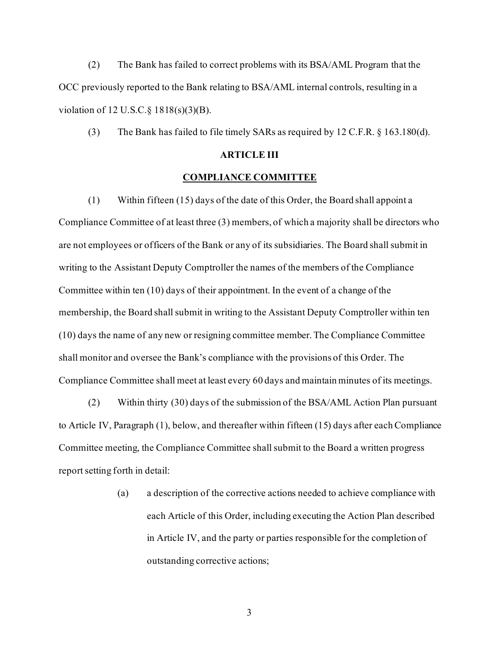(2) The Bank has failed to correct problems with its BSA/AML Program that the OCC previously reported to the Bank relating to BSA/AML internal controls, resulting in a violation of 12 U.S.C.§ 1818(s)(3)(B).

(3) The Bank has failed to file timely SARs as required by 12 C.F.R. § 163.180(d).

# **ARTICLE III**

### **COMPLIANCE COMMITTEE**

(1) Within fifteen (15) days of the date of this Order, the Board shall appoint a Compliance Committee of at least three (3) members, of which a majority shall be directors who are not employees or officers of the Bank or any of its subsidiaries. The Board shall submit in writing to the Assistant Deputy Comptroller the names of the members of the Compliance Committee within ten (10) days of their appointment. In the event of a change of the membership, the Board shall submit in writing to the Assistant Deputy Comptroller within ten (10) days the name of any new or resigning committee member. The Compliance Committee shall monitor and oversee the Bank's compliance with the provisions of this Order. The Compliance Committee shall meet at least every 60 days and maintain minutes of its meetings.

(2) Within thirty (30) days of the submission of the BSA/AML Action Plan pursuant to Article IV, Paragraph (1), below, and thereafter within fifteen (15) days after each Compliance Committee meeting, the Compliance Committee shall submit to the Board a written progress report setting forth in detail:

> (a) a description of the corrective actions needed to achieve compliance with each Article of this Order, including executing the Action Plan described in Article IV, and the party or parties responsible for the completion of outstanding corrective actions;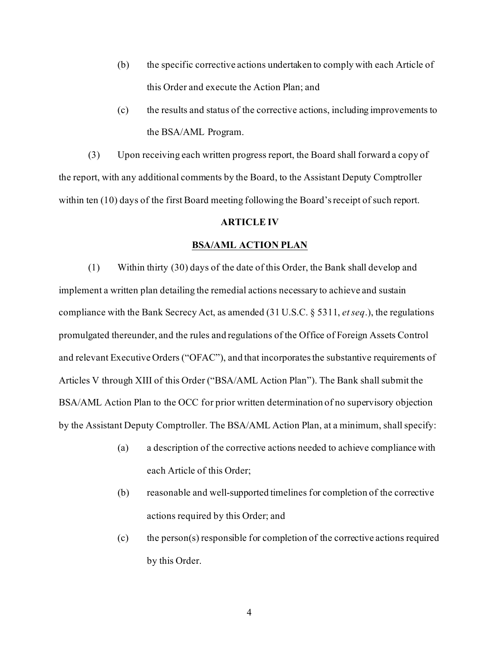- (b) the specific corrective actions undertaken to comply with each Article of this Order and execute the Action Plan; and
- (c) the results and status of the corrective actions, including improvements to the BSA/AML Program.

(3) Upon receiving each written progress report, the Board shall forward a copy of the report, with any additional comments by the Board, to the Assistant Deputy Comptroller within ten (10) days of the first Board meeting following the Board's receipt of such report.

## **ARTICLE IV**

### **BSA/AML ACTION PLAN**

(1) Within thirty (30) days of the date of this Order, the Bank shall develop and implement a written plan detailing the remedial actions necessary to achieve and sustain compliance with the Bank Secrecy Act, as amended (31 U.S.C. § 5311, *et seq*.), the regulations promulgated thereunder, and the rules and regulations of the Office of Foreign Assets Control and relevant Executive Orders ("OFAC"), and that incorporates the substantive requirements of Articles V through XIII of this Order ("BSA/AML Action Plan"). The Bank shall submit the BSA/AML Action Plan to the OCC for prior written determination of no supervisory objection by the Assistant Deputy Comptroller. The BSA/AML Action Plan, at a minimum, shall specify:

- (a) a description of the corrective actions needed to achieve compliance with each Article of this Order;
- (b) reasonable and well-supported timelines for completion of the corrective actions required by this Order; and
- (c) the person(s) responsible for completion of the corrective actions required by this Order.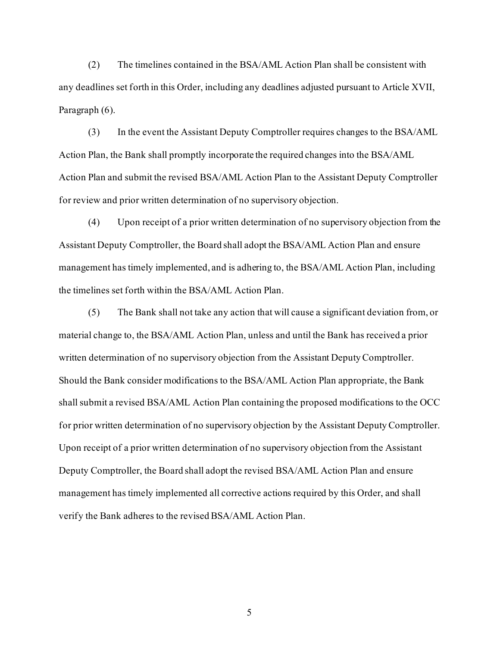(2) The timelines contained in the BSA/AML Action Plan shall be consistent with any deadlines set forth in this Order, including any deadlines adjusted pursuant to Article XVII, Paragraph (6).

(3) In the event the Assistant Deputy Comptroller requires changes to the BSA/AML Action Plan, the Bank shall promptly incorporate the required changes into the BSA/AML Action Plan and submit the revised BSA/AML Action Plan to the Assistant Deputy Comptroller for review and prior written determination of no supervisory objection.

(4) Upon receipt of a prior written determination of no supervisory objection from the Assistant Deputy Comptroller, the Board shall adopt the BSA/AML Action Plan and ensure management has timely implemented, and is adhering to, the BSA/AML Action Plan, including the timelines set forth within the BSA/AML Action Plan.

(5) The Bank shall not take any action that will cause a significant deviation from, or material change to, the BSA/AML Action Plan, unless and until the Bank has received a prior written determination of no supervisory objection from the Assistant Deputy Comptroller. Should the Bank consider modifications to the BSA/AML Action Plan appropriate, the Bank shall submit a revised BSA/AML Action Plan containing the proposed modifications to the OCC for prior written determination of no supervisory objection by the Assistant Deputy Comptroller. Upon receipt of a prior written determination of no supervisory objection from the Assistant Deputy Comptroller, the Board shall adopt the revised BSA/AML Action Plan and ensure management has timely implemented all corrective actions required by this Order, and shall verify the Bank adheres to the revised BSA/AML Action Plan.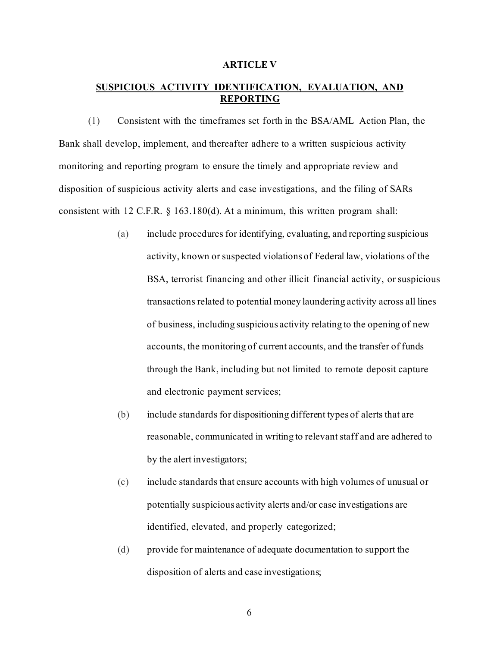### **ARTICLE V**

# **SUSPICIOUS ACTIVITY IDENTIFICATION, EVALUATION, AND REPORTING**

(1) Consistent with the timeframes set forth in the BSA/AML Action Plan, the Bank shall develop, implement, and thereafter adhere to a written suspicious activity monitoring and reporting program to ensure the timely and appropriate review and disposition of suspicious activity alerts and case investigations, and the filing of SARs consistent with 12 C.F.R. § 163.180(d). At a minimum, this written program shall:

- (a) include procedures for identifying, evaluating, and reporting suspicious activity, known or suspected violations of Federal law, violations of the BSA, terrorist financing and other illicit financial activity, or suspicious transactions related to potential money laundering activity across all lines of business, including suspicious activity relating to the opening of new accounts, the monitoring of current accounts, and the transfer of funds through the Bank, including but not limited to remote deposit capture and electronic payment services;
- (b) include standards for dispositioning different types of alerts that are reasonable, communicated in writing to relevant staff and are adhered to by the alert investigators;
- (c) include standards that ensure accounts with high volumes of unusual or potentially suspicious activity alerts and/or case investigations are identified, elevated, and properly categorized;
- (d) provide for maintenance of adequate documentation to support the disposition of alerts and case investigations;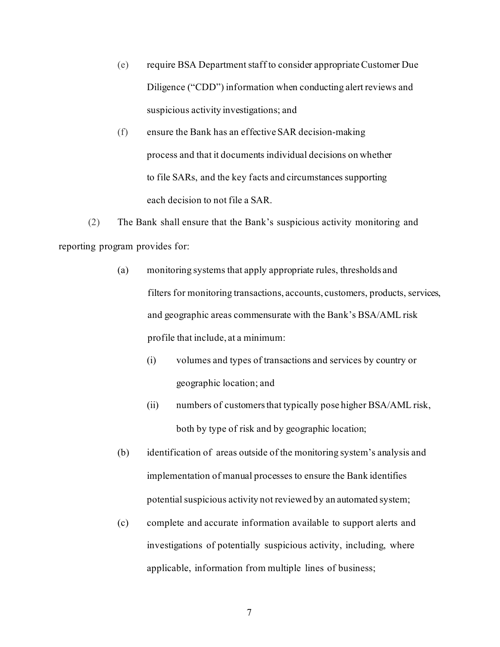- (e) require BSA Department staff to consider appropriate Customer Due Diligence ("CDD") information when conducting alert reviews and suspicious activity investigations; and
- (f) ensure the Bank has an effective SAR decision-making process and that it documents individual decisions on whether to file SARs, and the key facts and circumstances supporting each decision to not file a SAR.

(2) The Bank shall ensure that the Bank's suspicious activity monitoring and reporting program provides for:

- (a) monitoring systems that apply appropriate rules, thresholds and filters for monitoring transactions, accounts, customers, products, services, and geographic areas commensurate with the Bank's BSA/AML risk profile that include, at a minimum:
	- (i) volumes and types of transactions and services by country or geographic location; and
	- (ii) numbers of customers that typically pose higher BSA/AML risk, both by type of risk and by geographic location;
- (b) identification of areas outside of the monitoring system's analysis and implementation of manual processes to ensure the Bank identifies potential suspicious activity not reviewed by an automated system;
- (c) complete and accurate information available to support alerts and investigations of potentially suspicious activity, including, where applicable, information from multiple lines of business;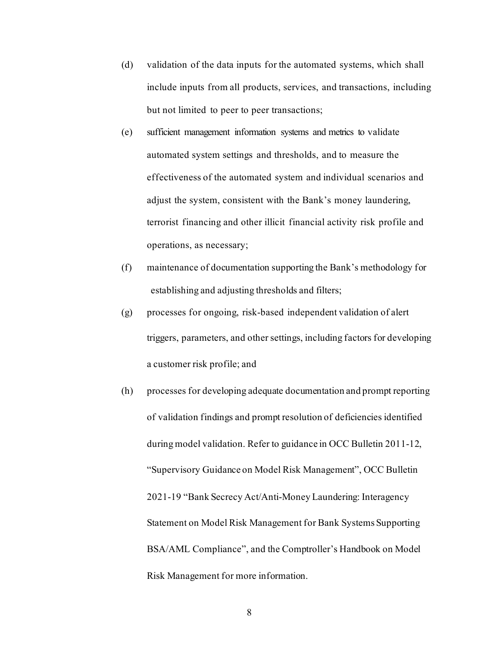- (d) validation of the data inputs for the automated systems, which shall include inputs from all products, services, and transactions, including but not limited to peer to peer transactions;
- (e) sufficient management information systems and metrics to validate automated system settings and thresholds, and to measure the effectiveness of the automated system and individual scenarios and adjust the system, consistent with the Bank's money laundering, terrorist financing and other illicit financial activity risk profile and operations, as necessary;
- (f) maintenance of documentation supporting the Bank's methodology for establishing and adjusting thresholds and filters;
- (g) processes for ongoing, risk-based independent validation of alert triggers, parameters, and other settings, including factors for developing a customer risk profile; and
- (h) processes for developing adequate documentation and prompt reporting of validation findings and prompt resolution of deficiencies identified during model validation. Refer to guidance in OCC Bulletin 2011-12, "Supervisory Guidance on Model Risk Management", OCC Bulletin 2021-19 "Bank Secrecy Act/Anti-Money Laundering: Interagency Statement on Model Risk Management for Bank Systems Supporting BSA/AML Compliance", and the Comptroller's Handbook on Model Risk Management for more information.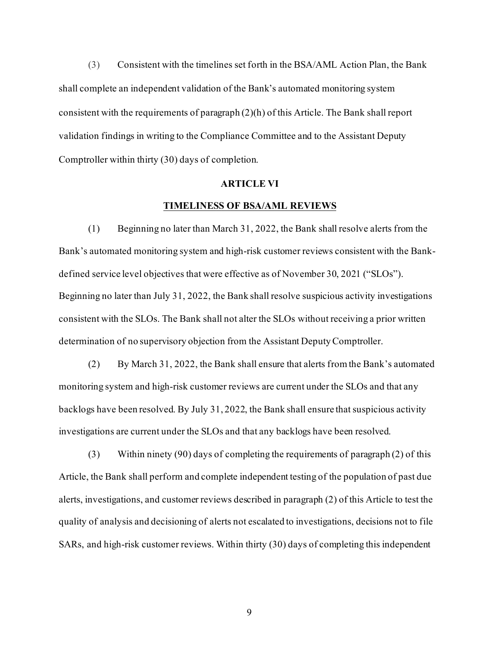(3) Consistent with the timelines set forth in the BSA/AML Action Plan, the Bank shall complete an independent validation of the Bank's automated monitoring system consistent with the requirements of paragraph (2)(h) of this Article. The Bank shall report validation findings in writing to the Compliance Committee and to the Assistant Deputy Comptroller within thirty (30) days of completion.

### **ARTICLE VI**

## **TIMELINESS OF BSA/AML REVIEWS**

(1) Beginning no later than March 31, 2022, the Bank shall resolve alerts from the Bank's automated monitoring system and high-risk customer reviews consistent with the Bankdefined service level objectives that were effective as of November 30, 2021 ("SLOs"). Beginning no later than July 31, 2022, the Bank shall resolve suspicious activity investigations consistent with the SLOs. The Bank shall not alter the SLOs without receiving a prior written determination of no supervisory objection from the Assistant Deputy Comptroller.

(2) By March 31, 2022, the Bank shall ensure that alerts from the Bank's automated monitoring system and high-risk customer reviews are current under the SLOs and that any backlogs have been resolved. By July 31, 2022, the Bank shall ensure that suspicious activity investigations are current under the SLOs and that any backlogs have been resolved.

(3) Within ninety (90) days of completing the requirements of paragraph (2) of this Article, the Bank shall perform and complete independent testing of the population of past due alerts, investigations, and customer reviews described in paragraph (2) of this Article to test the quality of analysis and decisioning of alerts not escalated to investigations, decisions not to file SARs, and high-risk customer reviews. Within thirty (30) days of completing this independent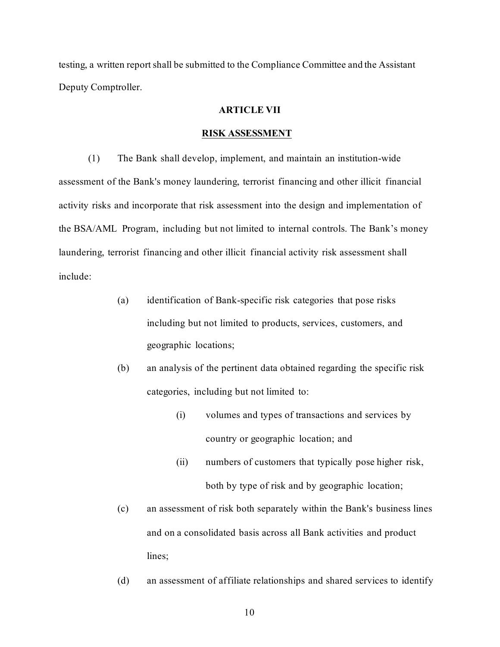testing, a written report shall be submitted to the Compliance Committee and the Assistant Deputy Comptroller.

## **ARTICLE VII**

#### **RISK ASSESSMENT**

(1) The Bank shall develop, implement, and maintain an institution-wide assessment of the Bank's money laundering, terrorist financing and other illicit financial activity risks and incorporate that risk assessment into the design and implementation of the BSA/AML Program, including but not limited to internal controls. The Bank's money laundering, terrorist financing and other illicit financial activity risk assessment shall include:

- (a) identification of Bank-specific risk categories that pose risks including but not limited to products, services, customers, and geographic locations;
- (b) an analysis of the pertinent data obtained regarding the specific risk categories, including but not limited to:
	- (i) volumes and types of transactions and services by country or geographic location; and
	- (ii) numbers of customers that typically pose higher risk, both by type of risk and by geographic location;
- (c) an assessment of risk both separately within the Bank's business lines and on a consolidated basis across all Bank activities and product lines;
- (d) an assessment of affiliate relationships and shared services to identify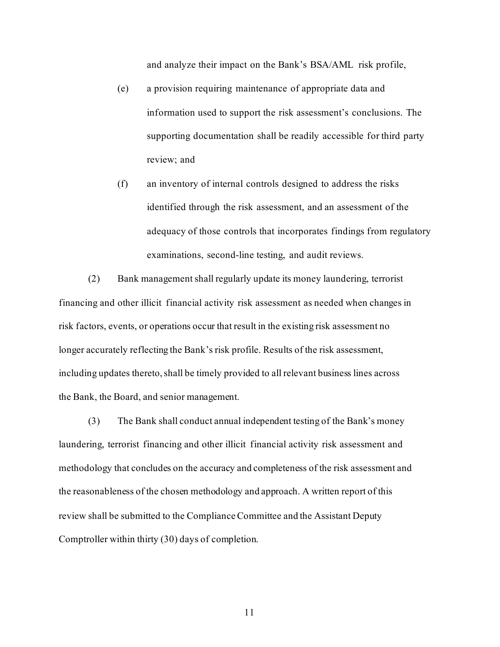and analyze their impact on the Bank's BSA/AML risk profile,

- (e) a provision requiring maintenance of appropriate data and information used to support the risk assessment's conclusions. The supporting documentation shall be readily accessible for third party review; and
- (f) an inventory of internal controls designed to address the risks identified through the risk assessment, and an assessment of the adequacy of those controls that incorporates findings from regulatory examinations, second-line testing, and audit reviews.

(2) Bank management shall regularly update its money laundering, terrorist financing and other illicit financial activity risk assessment as needed when changes in risk factors, events, or operations occur that result in the existing risk assessment no longer accurately reflecting the Bank's risk profile. Results of the risk assessment, including updates thereto, shall be timely provided to all relevant business lines across the Bank, the Board, and senior management.

(3) The Bank shall conduct annual independent testing of the Bank's money laundering, terrorist financing and other illicit financial activity risk assessment and methodology that concludes on the accuracy and completeness of the risk assessment and the reasonableness of the chosen methodology and approach. A written report of this review shall be submitted to the Compliance Committee and the Assistant Deputy Comptroller within thirty (30) days of completion.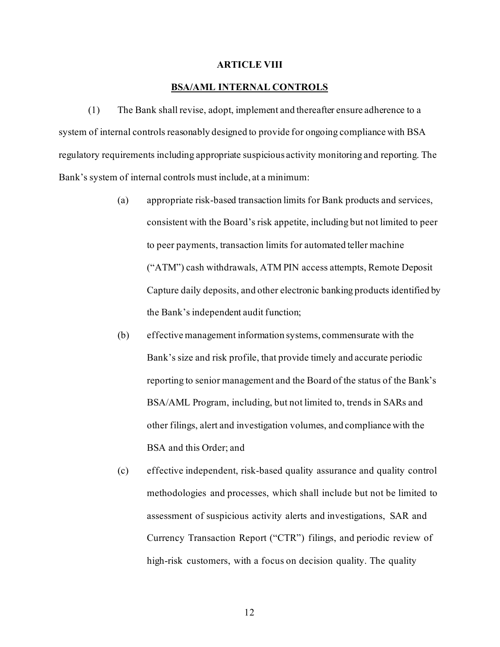### **ARTICLE VIII**

## **BSA/AML INTERNAL CONTROLS**

(1) The Bank shall revise, adopt, implement and thereafter ensure adherence to a system of internal controls reasonably designed to provide for ongoing compliance with BSA regulatory requirements including appropriate suspicious activity monitoring and reporting. The Bank's system of internal controls must include, at a minimum:

- (a) appropriate risk-based transaction limits for Bank products and services, consistent with the Board's risk appetite, including but not limited to peer to peer payments, transaction limits for automated teller machine ("ATM") cash withdrawals, ATM PIN access attempts, Remote Deposit Capture daily deposits, and other electronic banking products identified by the Bank's independent audit function;
- (b) effective management information systems, commensurate with the Bank's size and risk profile, that provide timely and accurate periodic reporting to senior management and the Board of the status of the Bank's BSA/AML Program, including, but not limited to, trends in SARs and other filings, alert and investigation volumes, and compliance with the BSA and this Order; and
- (c) effective independent, risk-based quality assurance and quality control methodologies and processes, which shall include but not be limited to assessment of suspicious activity alerts and investigations, SAR and Currency Transaction Report ("CTR") filings, and periodic review of high-risk customers, with a focus on decision quality. The quality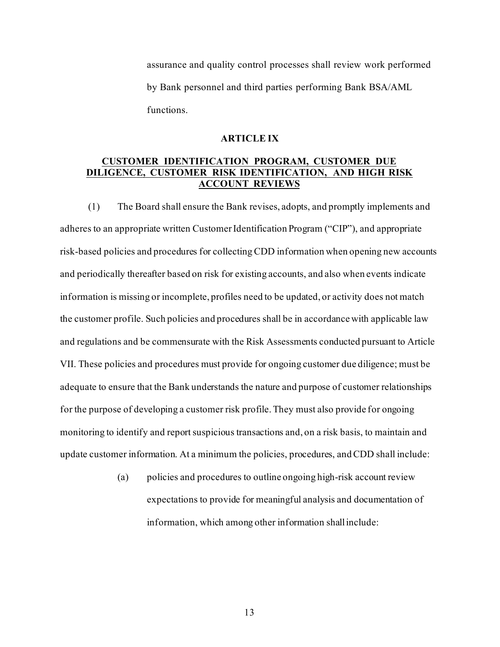assurance and quality control processes shall review work performed by Bank personnel and third parties performing Bank BSA/AML functions.

## **ARTICLE IX**

# **CUSTOMER IDENTIFICATION PROGRAM, CUSTOMER DUE DILIGENCE, CUSTOMER RISK IDENTIFICATION, AND HIGH RISK ACCOUNT REVIEWS**

(1) The Board shall ensure the Bank revises, adopts, and promptly implements and adheres to an appropriate written Customer Identification Program ("CIP"), and appropriate risk-based policies and procedures for collecting CDD information when opening new accounts and periodically thereafter based on risk for existing accounts, and also when events indicate information is missing or incomplete, profiles need to be updated, or activity does not match the customer profile. Such policies and procedures shall be in accordance with applicable law and regulations and be commensurate with the Risk Assessments conducted pursuant to Article VII. These policies and procedures must provide for ongoing customer due diligence; must be adequate to ensure that the Bank understands the nature and purpose of customer relationships for the purpose of developing a customer risk profile. They must also provide for ongoing monitoring to identify and report suspicious transactions and, on a risk basis, to maintain and update customer information. At a minimum the policies, procedures, and CDD shall include:

> (a) policies and procedures to outline ongoing high-risk account review expectations to provide for meaningful analysis and documentation of information, which among other information shall include: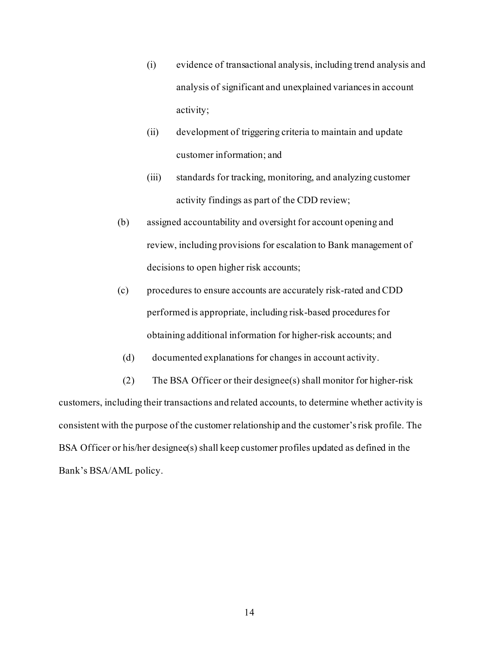- (i) evidence of transactional analysis, including trend analysis and analysis of significant and unexplained variances in account activity;
- (ii) development of triggering criteria to maintain and update customer information; and
- (iii) standards for tracking, monitoring, and analyzing customer activity findings as part of the CDD review;
- (b) assigned accountability and oversight for account opening and review, including provisions for escalation to Bank management of decisions to open higher risk accounts;
- (c) procedures to ensure accounts are accurately risk-rated and CDD performed is appropriate, including risk-based procedures for obtaining additional information for higher-risk accounts; and
- (d) documented explanations for changes in account activity.

(2) The BSA Officer or their designee(s) shall monitor for higher-risk customers, including their transactions and related accounts, to determine whether activity is consistent with the purpose of the customer relationship and the customer's risk profile. The BSA Officer or his/her designee(s) shall keep customer profiles updated as defined in the Bank's BSA/AML policy.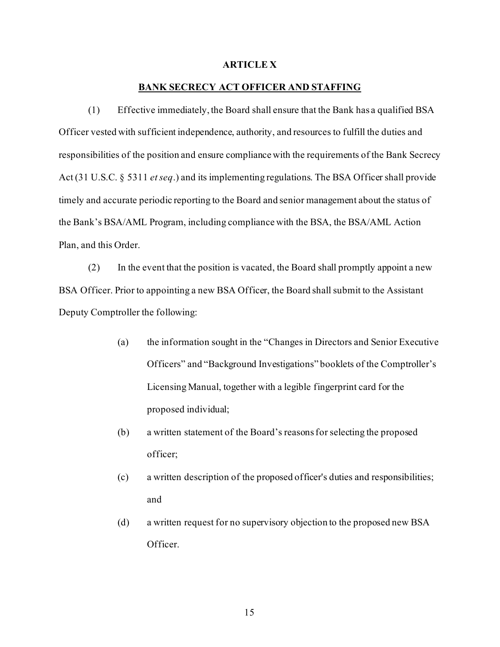### **ARTICLE X**

## **BANK SECRECY ACT OFFICER AND STAFFING**

(1) Effective immediately, the Board shall ensure that the Bank has a qualified BSA Officer vested with sufficient independence, authority, and resources to fulfill the duties and responsibilities of the position and ensure compliance with the requirements of the Bank Secrecy Act (31 U.S.C. § 5311 *et seq*.) and its implementing regulations. The BSA Officer shall provide timely and accurate periodic reporting to the Board and senior management about the status of the Bank's BSA/AML Program, including compliance with the BSA, the BSA/AML Action Plan, and this Order.

(2) In the event that the position is vacated, the Board shall promptly appoint a new BSA Officer. Prior to appointing a new BSA Officer, the Board shall submit to the Assistant Deputy Comptroller the following:

- (a) the information sought in the "Changes in Directors and Senior Executive Officers" and "Background Investigations" booklets of the Comptroller's Licensing Manual, together with a legible fingerprint card for the proposed individual;
- (b) a written statement of the Board's reasons for selecting the proposed officer;
- (c) a written description of the proposed officer's duties and responsibilities; and
- (d) a written request for no supervisory objection to the proposed new BSA Officer.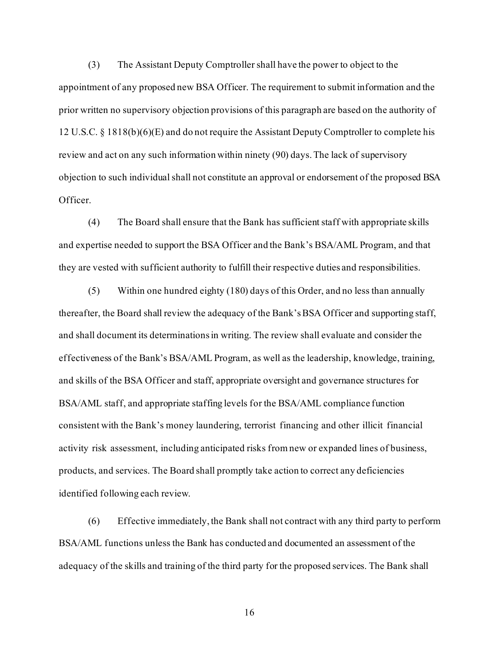(3) The Assistant Deputy Comptroller shall have the power to object to the appointment of any proposed new BSA Officer. The requirement to submit information and the prior written no supervisory objection provisions of this paragraph are based on the authority of 12 U.S.C. § 1818(b)(6)(E) and do not require the Assistant Deputy Comptroller to complete his review and act on any such information within ninety (90) days. The lack of supervisory objection to such individual shall not constitute an approval or endorsement of the proposed BSA Officer.

(4) The Board shall ensure that the Bank has sufficient staff with appropriate skills and expertise needed to support the BSA Officer and the Bank's BSA/AML Program, and that they are vested with sufficient authority to fulfill their respective duties and responsibilities.

(5) Within one hundred eighty (180) days of this Order, and no less than annually thereafter, the Board shall review the adequacy of the Bank's BSA Officer and supporting staff, and shall document its determinations in writing. The review shall evaluate and consider the effectiveness of the Bank's BSA/AML Program, as well as the leadership, knowledge, training, and skills of the BSA Officer and staff, appropriate oversight and governance structures for BSA/AML staff, and appropriate staffing levels for the BSA/AML compliance function consistent with the Bank's money laundering, terrorist financing and other illicit financial activity risk assessment, including anticipated risks from new or expanded lines of business, products, and services. The Board shall promptly take action to correct any deficiencies identified following each review.

(6) Effective immediately, the Bank shall not contract with any third party to perform BSA/AML functions unless the Bank has conducted and documented an assessment of the adequacy of the skills and training of the third party for the proposed services. The Bank shall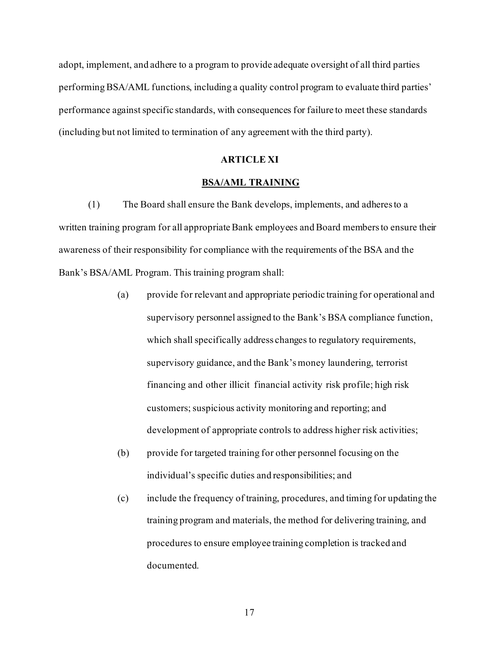adopt, implement, and adhere to a program to provide adequate oversight of all third parties performing BSA/AML functions, including a quality control program to evaluate third parties' performance against specific standards, with consequences for failure to meet these standards (including but not limited to termination of any agreement with the third party).

#### **ARTICLE XI**

## **BSA/AML TRAINING**

(1) The Board shall ensure the Bank develops, implements, and adheres to a written training program for all appropriate Bank employees and Board members to ensure their awareness of their responsibility for compliance with the requirements of the BSA and the Bank's BSA/AML Program. This training program shall:

- (a) provide for relevant and appropriate periodic training for operational and supervisory personnel assigned to the Bank's BSA compliance function, which shall specifically address changes to regulatory requirements, supervisory guidance, and the Bank'smoney laundering, terrorist financing and other illicit financial activity risk profile; high risk customers; suspicious activity monitoring and reporting; and development of appropriate controls to address higher risk activities;
- (b) provide for targeted training for other personnel focusing on the individual's specific duties and responsibilities; and
- (c) include the frequency of training, procedures, and timing for updating the training program and materials, the method for delivering training, and procedures to ensure employee training completion is tracked and documented.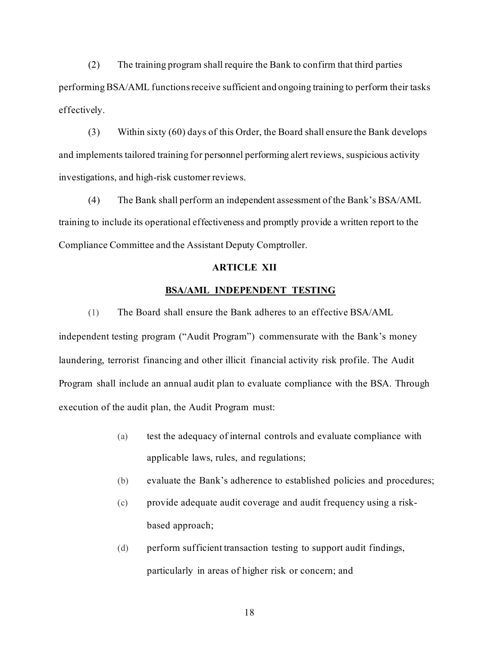(2) The training program shall require the Bank to confirm that third parties performing BSA/AML functions receive sufficient and ongoing training to perform their tasks effectively.

(3) Within sixty (60) days of this Order, the Board shall ensure the Bank develops and implements tailored training for personnel performing alert reviews, suspicious activity investigations, and high-risk customer reviews.

(4) The Bank shall perform an independent assessment of the Bank's BSA/AML training to include its operational effectiveness and promptly provide a written report to the Compliance Committee and the Assistant Deputy Comptroller.

## **ARTICLE XII**

## **BSA/AML INDEPENDENT TESTING**

(1) The Board shall ensure the Bank adheres to an effective BSA/AML

independent testing program ("Audit Program") commensurate with the Bank's money laundering, terrorist financing and other illicit financial activity risk profile. The Audit Program shall include an annual audit plan to evaluate compliance with the BSA. Through execution of the audit plan, the Audit Program must:

- (a) test the adequacy of internal controls and evaluate compliance with applicable laws, rules, and regulations;
- (b) evaluate the Bank's adherence to established policies and procedures;
- (c) provide adequate audit coverage and audit frequency using a riskbased approach;
- (d) perform sufficient transaction testing to support audit findings, particularly in areas of higher risk or concern; and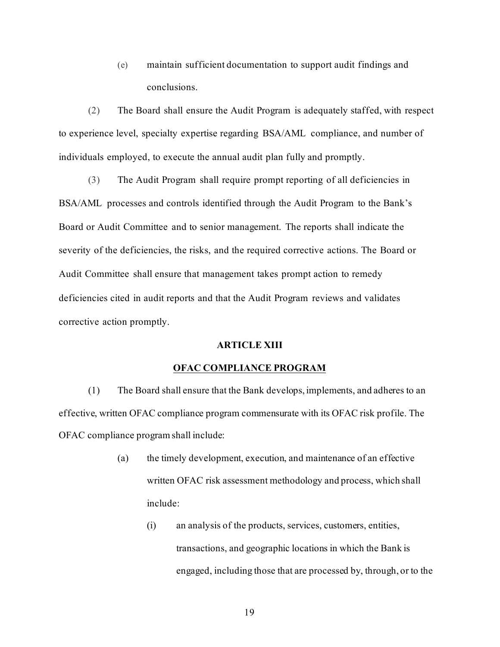(e) maintain sufficient documentation to support audit findings and conclusions.

(2) The Board shall ensure the Audit Program is adequately staffed, with respect to experience level, specialty expertise regarding BSA/AML compliance, and number of individuals employed, to execute the annual audit plan fully and promptly.

(3) The Audit Program shall require prompt reporting of all deficiencies in BSA/AML processes and controls identified through the Audit Program to the Bank's Board or Audit Committee and to senior management. The reports shall indicate the severity of the deficiencies, the risks, and the required corrective actions. The Board or Audit Committee shall ensure that management takes prompt action to remedy deficiencies cited in audit reports and that the Audit Program reviews and validates corrective action promptly.

## **ARTICLE XIII**

## **OFAC COMPLIANCE PROGRAM**

(1) The Board shall ensure that the Bank develops, implements, and adheres to an effective, written OFAC compliance program commensurate with its OFAC risk profile. The OFAC compliance program shall include:

- (a) the timely development, execution, and maintenance of an effective written OFAC risk assessment methodology and process, which shall include:
	- (i) an analysis of the products, services, customers, entities, transactions, and geographic locations in which the Bank is engaged, including those that are processed by, through, or to the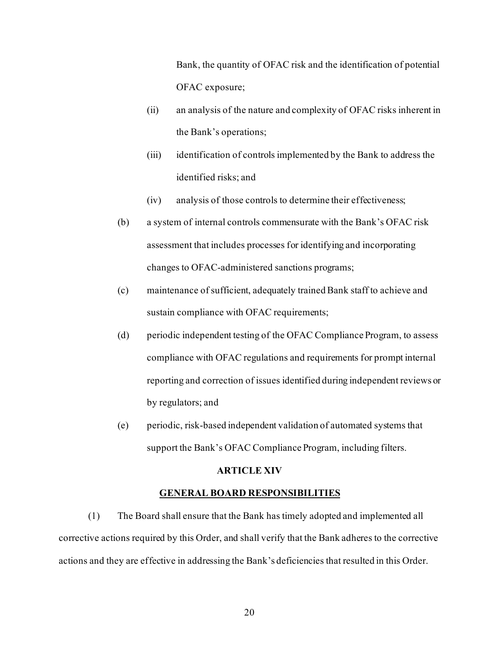Bank, the quantity of OFAC risk and the identification of potential OFAC exposure;

- (ii) an analysis of the nature and complexity of OFAC risks inherent in the Bank's operations;
- (iii) identification of controls implemented by the Bank to address the identified risks; and
- (iv) analysis of those controls to determine their effectiveness;
- (b) a system of internal controls commensurate with the Bank's OFAC risk assessment that includes processes for identifying and incorporating changes to OFAC-administered sanctions programs;
- (c) maintenance of sufficient, adequately trained Bank staff to achieve and sustain compliance with OFAC requirements;
- (d) periodic independent testing of the OFAC Compliance Program, to assess compliance with OFAC regulations and requirements for prompt internal reporting and correction of issues identified during independent reviews or by regulators; and
- (e) periodic, risk-based independent validation of automated systems that support the Bank's OFAC Compliance Program, including filters.

### **ARTICLE XIV**

#### **GENERAL BOARD RESPONSIBILITIES**

(1) The Board shall ensure that the Bank has timely adopted and implemented all corrective actions required by this Order, and shall verify that the Bank adheres to the corrective actions and they are effective in addressing the Bank's deficiencies that resulted in this Order.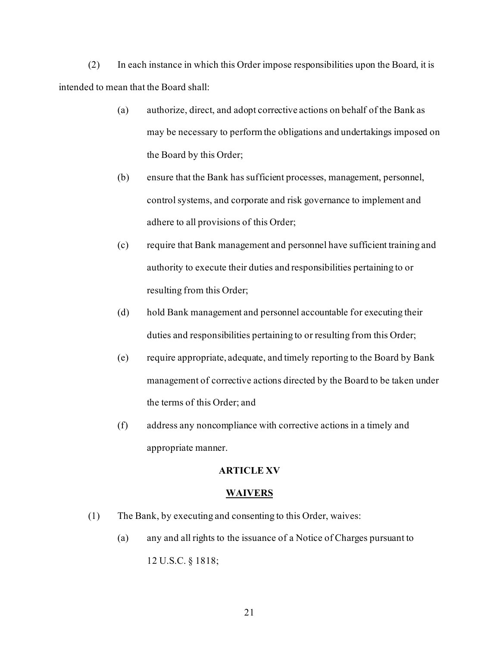(2) In each instance in which this Order impose responsibilities upon the Board, it is intended to mean that the Board shall:

- (a) authorize, direct, and adopt corrective actions on behalf of the Bank as may be necessary to perform the obligations and undertakings imposed on the Board by this Order;
- (b) ensure that the Bank has sufficient processes, management, personnel, control systems, and corporate and risk governance to implement and adhere to all provisions of this Order;
- (c) require that Bank management and personnel have sufficient training and authority to execute their duties and responsibilities pertaining to or resulting from this Order;
- (d) hold Bank management and personnel accountable for executing their duties and responsibilities pertaining to or resulting from this Order;
- (e) require appropriate, adequate, and timely reporting to the Board by Bank management of corrective actions directed by the Board to be taken under the terms of this Order; and
- (f) address any noncompliance with corrective actions in a timely and appropriate manner.

### **ARTICLE XV**

### **WAIVERS**

- (1) The Bank, by executing and consenting to this Order, waives:
	- (a) any and all rights to the issuance of a Notice of Charges pursuant to 12 U.S.C. § 1818;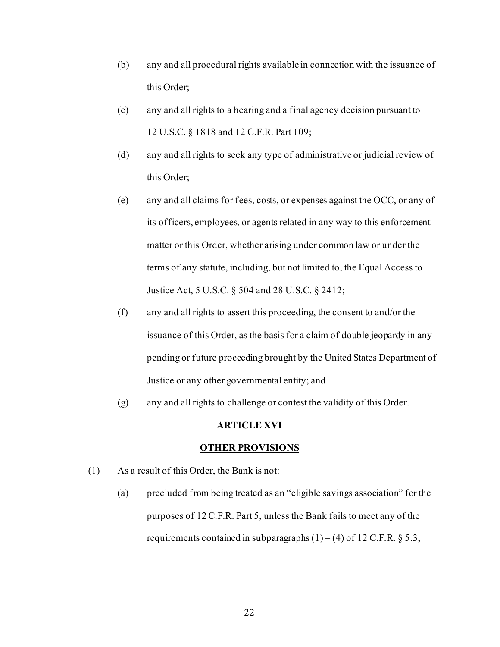- (b) any and all procedural rights available in connection with the issuance of this Order;
- (c) any and all rights to a hearing and a final agency decision pursuant to 12 U.S.C. § 1818 and 12 C.F.R. Part 109;
- (d) any and all rights to seek any type of administrative or judicial review of this Order;
- (e) any and all claims for fees, costs, or expenses against the OCC, or any of its officers, employees, or agents related in any way to this enforcement matter or this Order, whether arising under common law or under the terms of any statute, including, but not limited to, the Equal Access to Justice Act, 5 U.S.C. § 504 and 28 U.S.C. § 2412;
- (f) any and all rights to assert this proceeding, the consent to and/or the issuance of this Order, as the basis for a claim of double jeopardy in any pending or future proceeding brought by the United States Department of Justice or any other governmental entity; and
- (g) any and all rights to challenge or contest the validity of this Order.

### **ARTICLE XVI**

#### **OTHER PROVISIONS**

- (1) As a result of this Order, the Bank is not:
	- (a) precluded from being treated as an "eligible savings association" for the purposes of 12 C.F.R. Part 5, unless the Bank fails to meet any of the requirements contained in subparagraphs  $(1) - (4)$  of 12 C.F.R. § 5.3,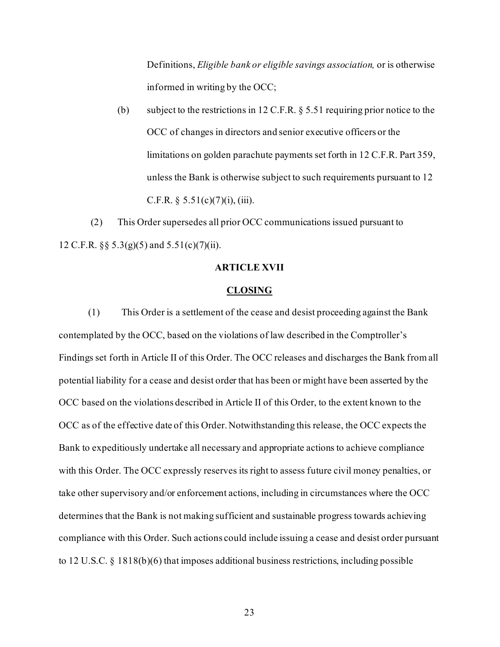Definitions, *Eligible bank or eligible savings association,* or is otherwise informed in writing by the OCC;

(b) subject to the restrictions in 12 C.F.R.  $\S 5.51$  requiring prior notice to the OCC of changes in directors and senior executive officers or the limitations on golden parachute payments set forth in 12 C.F.R. Part 359, unless the Bank is otherwise subject to such requirements pursuant to 12 C.F.R. §  $5.51(c)(7)(i)$ , (iii).

(2) This Order supersedes all prior OCC communications issued pursuant to 12 C.F.R.  $\S$ § 5.3(g)(5) and 5.51(c)(7)(ii).

## **ARTICLE XVII**

#### **CLOSING**

(1) This Order is a settlement of the cease and desist proceeding against the Bank contemplated by the OCC, based on the violations of law described in the Comptroller's Findings set forth in Article II of this Order. The OCC releases and discharges the Bank from all potential liability for a cease and desist order that has been or might have been asserted by the OCC based on the violations described in Article II of this Order, to the extent known to the OCC as of the effective date of this Order. Notwithstanding this release, the OCC expects the Bank to expeditiously undertake all necessary and appropriate actions to achieve compliance with this Order. The OCC expressly reserves its right to assess future civil money penalties, or take other supervisory and/or enforcement actions, including in circumstances where the OCC determines that the Bank is not making sufficient and sustainable progress towards achieving compliance with this Order. Such actions could include issuing a cease and desist order pursuant to 12 U.S.C. § 1818(b)(6) that imposes additional business restrictions, including possible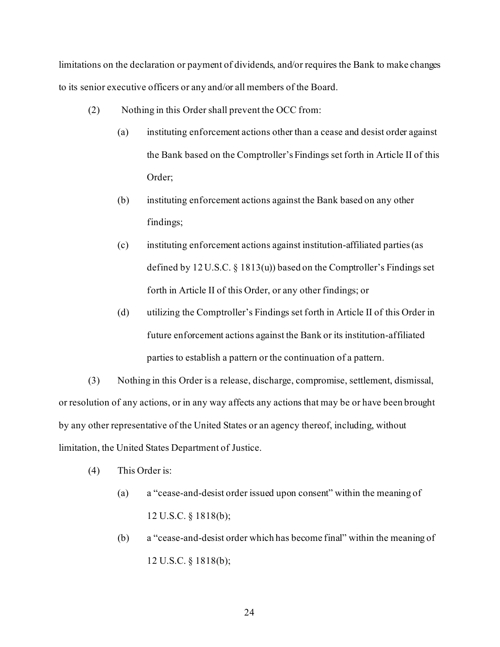limitations on the declaration or payment of dividends, and/or requires the Bank to make changes to its senior executive officers or any and/or all members of the Board.

- (2) Nothing in this Order shall prevent the OCC from:
	- (a) instituting enforcement actions other than a cease and desist order against the Bank based on the Comptroller's Findings set forth in Article II of this Order;
	- (b) instituting enforcement actions against the Bank based on any other findings;
	- (c) instituting enforcement actions against institution-affiliated parties (as defined by 12 U.S.C. § 1813(u)) based on the Comptroller's Findings set forth in Article II of this Order, or any other findings; or
	- (d) utilizing the Comptroller's Findings set forth in Article II of this Order in future enforcement actions against the Bank or its institution-affiliated parties to establish a pattern or the continuation of a pattern.

(3) Nothing in this Order is a release, discharge, compromise, settlement, dismissal, or resolution of any actions, or in any way affects any actions that may be or have been brought by any other representative of the United States or an agency thereof, including, without limitation, the United States Department of Justice.

- (4) This Order is:
	- (a) a "cease-and-desist order issued upon consent" within the meaning of 12 U.S.C. § 1818(b);
	- (b) a "cease-and-desist order which has become final" within the meaning of 12 U.S.C. § 1818(b);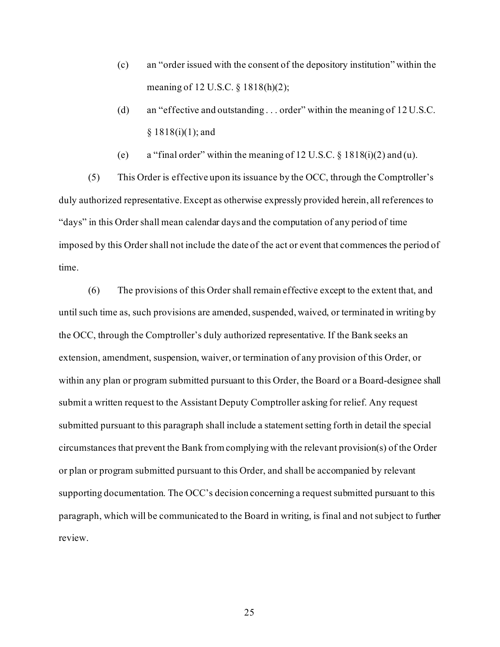- (c) an "order issued with the consent of the depository institution" within the meaning of 12 U.S.C. § 1818(h)(2);
- (d) an "effective and outstanding . . . order" within the meaning of 12 U.S.C.  $§ 1818(i)(1);$  and
- (e) a "final order" within the meaning of  $12$  U.S.C. §  $1818(i)(2)$  and (u).

(5) This Order is effective upon its issuance by the OCC, through the Comptroller's duly authorized representative. Except as otherwise expressly provided herein, all references to "days" in this Order shall mean calendar days and the computation of any period of time imposed by this Order shall not include the date of the act or event that commences the period of time.

(6) The provisions of this Order shall remain effective except to the extent that, and until such time as, such provisions are amended, suspended, waived, or terminated in writing by the OCC, through the Comptroller's duly authorized representative. If the Bank seeks an extension, amendment, suspension, waiver, or termination of any provision of this Order, or within any plan or program submitted pursuant to this Order, the Board or a Board-designee shall submit a written request to the Assistant Deputy Comptroller asking for relief. Any request submitted pursuant to this paragraph shall include a statement setting forth in detail the special circumstances that prevent the Bank from complying with the relevant provision(s) of the Order or plan or program submitted pursuant to this Order, and shall be accompanied by relevant supporting documentation. The OCC's decision concerning a request submitted pursuant to this paragraph, which will be communicated to the Board in writing, is final and not subject to further review.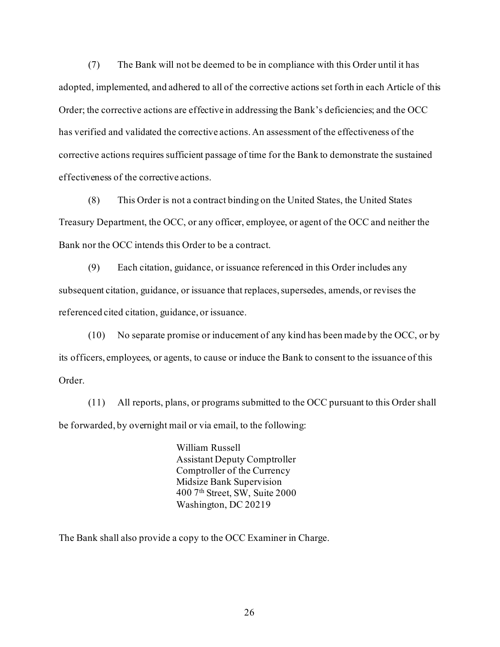(7) The Bank will not be deemed to be in compliance with this Order until it has adopted, implemented, and adhered to all of the corrective actions set forth in each Article of this Order; the corrective actions are effective in addressing the Bank's deficiencies; and the OCC has verified and validated the corrective actions. An assessment of the effectiveness of the corrective actions requires sufficient passage of time for the Bank to demonstrate the sustained effectiveness of the corrective actions.

(8) This Order is not a contract binding on the United States, the United States Treasury Department, the OCC, or any officer, employee, or agent of the OCC and neither the Bank nor the OCC intends this Order to be a contract.

(9) Each citation, guidance, or issuance referenced in this Order includes any subsequent citation, guidance, or issuance that replaces, supersedes, amends, or revises the referenced cited citation, guidance, or issuance.

(10) No separate promise or inducement of any kind has been made by the OCC, or by its officers, employees, or agents, to cause or induce the Bank to consent to the issuance of this Order.

(11) All reports, plans, or programs submitted to the OCC pursuant to this Order shall be forwarded, by overnight mail or via email, to the following:

> William Russell Assistant Deputy Comptroller Comptroller of the Currency Midsize Bank Supervision 400 7th Street, SW, Suite 2000 Washington, DC 20219

The Bank shall also provide a copy to the OCC Examiner in Charge.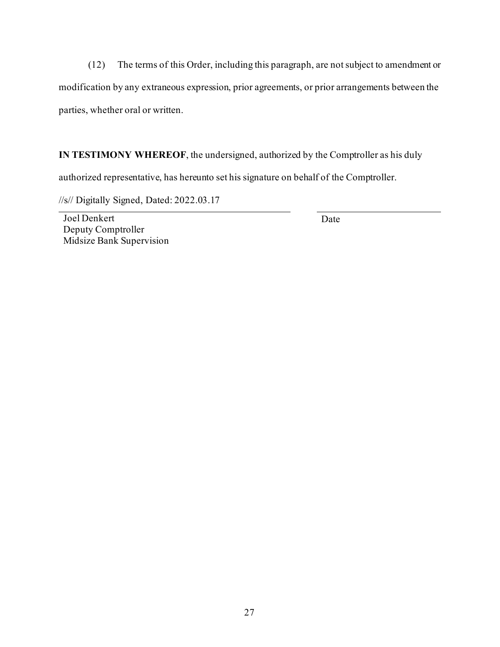(12) The terms of this Order, including this paragraph, are not subject to amendment or modification by any extraneous expression, prior agreements, or prior arrangements between the parties, whether oral or written.

**IN TESTIMONY WHEREOF**, the undersigned, authorized by the Comptroller as his duly

authorized representative, has hereunto set his signature on behalf of the Comptroller.

//s// Digitally Signed, Dated: 2022.03.17

Joel Denkert Deputy Comptroller Midsize Bank Supervision

Date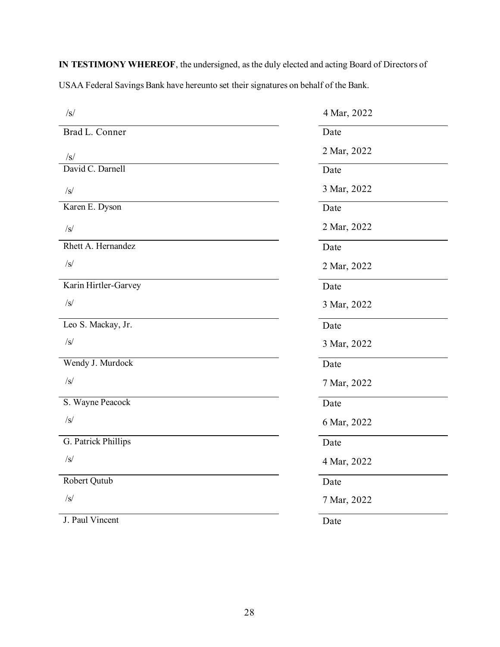**IN TESTIMONY WHEREOF**, the undersigned, as the duly elected and acting Board of Directors of

USAA Federal Savings Bank have hereunto set their signatures on behalf of the Bank.

| /s/                  | 4 Mar, 2022 |
|----------------------|-------------|
| Brad L. Conner       | Date        |
| $\sqrt{s}$           | 2 Mar, 2022 |
| David C. Darnell     | Date        |
| /s/                  | 3 Mar, 2022 |
| Karen E. Dyson       | Date        |
| /s/                  | 2 Mar, 2022 |
| Rhett A. Hernandez   | Date        |
| /s/                  | 2 Mar, 2022 |
| Karin Hirtler-Garvey | Date        |
| $\sqrt{s}$           | 3 Mar, 2022 |
| Leo S. Mackay, Jr.   | Date        |
| $\sqrt{s}$           | 3 Mar, 2022 |
| Wendy J. Murdock     | Date        |
| $\sqrt{s}$           | 7 Mar, 2022 |
| S. Wayne Peacock     | Date        |
| /s/                  | 6 Mar, 2022 |
| G. Patrick Phillips  | Date        |
| $\sqrt{s}$           | 4 Mar, 2022 |
| Robert Qutub         | Date        |
| /s/                  | 7 Mar, 2022 |
| J. Paul Vincent      | Date        |